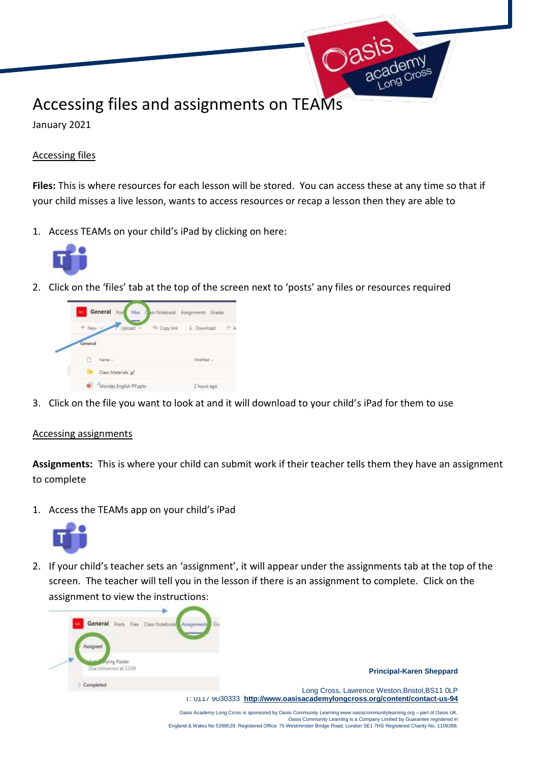## Accessing files and assignments on TEAMs

January 2021

## Accessing files

**Files:** This is where resources for each lesson will be stored. You can access these at any time so that if your child misses a live lesson, wants to access resources or recap a lesson then they are able to

**Dasi** 

1. Access TEAMs on your child's iPad by clicking on here:



2. Click on the 'files' tab at the top of the screen next to 'posts' any files or resources required



3. Click on the file you want to look at and it will download to your child's iPad for them to use

## Accessing assignments

**Assignments:** This is where your child can submit work if their teacher tells them they have an assignment to complete

1. Access the TEAMs app on your child's iPad



2. If your child's teacher sets an 'assignment', it will appear under the assignments tab at the top of the screen. The teacher will tell you in the lesson if there is an assignment to complete. Click on the assignment to view the instructions:



England & Wales No 5398529. Registered Office: 75 Westminster Bridge Road, London SE1 7HS Registered Charity No. 1109288.